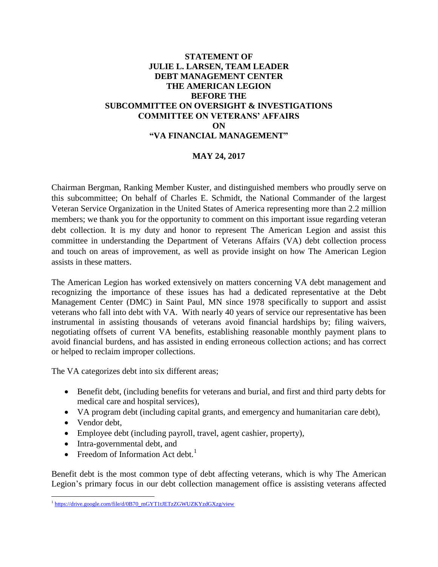#### **STATEMENT OF JULIE L. LARSEN, TEAM LEADER DEBT MANAGEMENT CENTER THE AMERICAN LEGION BEFORE THE SUBCOMMITTEE ON OVERSIGHT & INVESTIGATIONS COMMITTEE ON VETERANS' AFFAIRS ON "VA FINANCIAL MANAGEMENT"**

#### **MAY 24, 2017**

Chairman Bergman, Ranking Member Kuster, and distinguished members who proudly serve on this subcommittee; On behalf of Charles E. Schmidt, the National Commander of the largest Veteran Service Organization in the United States of America representing more than 2.2 million members; we thank you for the opportunity to comment on this important issue regarding veteran debt collection. It is my duty and honor to represent The American Legion and assist this committee in understanding the Department of Veterans Affairs (VA) debt collection process and touch on areas of improvement, as well as provide insight on how The American Legion assists in these matters.

The American Legion has worked extensively on matters concerning VA debt management and recognizing the importance of these issues has had a dedicated representative at the Debt Management Center (DMC) in Saint Paul, MN since 1978 specifically to support and assist veterans who fall into debt with VA. With nearly 40 years of service our representative has been instrumental in assisting thousands of veterans avoid financial hardships by; filing waivers, negotiating offsets of current VA benefits, establishing reasonable monthly payment plans to avoid financial burdens, and has assisted in ending erroneous collection actions; and has correct or helped to reclaim improper collections.

The VA categorizes debt into six different areas;

- Benefit debt, (including benefits for veterans and burial, and first and third party debts for medical care and hospital services),
- VA program debt (including capital grants, and emergency and humanitarian care debt),
- Vendor debt,
- Employee debt (including payroll, travel, agent cashier, property),
- Intra-governmental debt, and
- Freedom of Information Act debt.<sup>1</sup>

Benefit debt is the most common type of debt affecting veterans, which is why The American Legion's primary focus in our debt collection management office is assisting veterans affected

<sup>&</sup>lt;sup>1</sup> [https://drive.google.com/file/d/0B70\\_mGYT1tJETzZGWUZKYzdGXzg/view](https://drive.google.com/file/d/0B70_mGYT1tJETzZGWUZKYzdGXzg/view)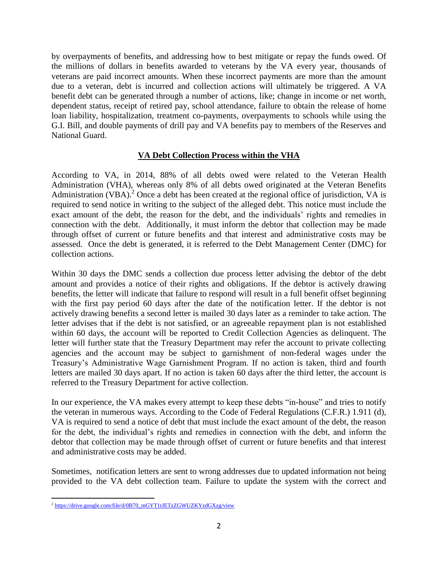by overpayments of benefits, and addressing how to best mitigate or repay the funds owed. Of the millions of dollars in benefits awarded to veterans by the VA every year, thousands of veterans are paid incorrect amounts. When these incorrect payments are more than the amount due to a veteran, debt is incurred and collection actions will ultimately be triggered. A VA benefit debt can be generated through a number of actions, like; change in income or net worth, dependent status, receipt of retired pay, school attendance, failure to obtain the release of home loan liability, hospitalization, treatment co-payments, overpayments to schools while using the G.I. Bill, and double payments of drill pay and VA benefits pay to members of the Reserves and National Guard.

## **VA Debt Collection Process within the VHA**

According to VA, in 2014, 88% of all debts owed were related to the Veteran Health Administration (VHA), whereas only 8% of all debts owed originated at the Veteran Benefits Administration (VBA).<sup>2</sup> Once a debt has been created at the regional office of jurisdiction, VA is required to send notice in writing to the subject of the alleged debt. This notice must include the exact amount of the debt, the reason for the debt, and the individuals' rights and remedies in connection with the debt. Additionally, it must inform the debtor that collection may be made through offset of current or future benefits and that interest and administrative costs may be assessed. Once the debt is generated, it is referred to the Debt Management Center (DMC) for collection actions.

Within 30 days the DMC sends a collection due process letter advising the debtor of the debt amount and provides a notice of their rights and obligations. If the debtor is actively drawing benefits, the letter will indicate that failure to respond will result in a full benefit offset beginning with the first pay period 60 days after the date of the notification letter. If the debtor is not actively drawing benefits a second letter is mailed 30 days later as a reminder to take action. The letter advises that if the debt is not satisfied, or an agreeable repayment plan is not established within 60 days, the account will be reported to Credit Collection Agencies as delinquent. The letter will further state that the Treasury Department may refer the account to private collecting agencies and the account may be subject to garnishment of non-federal wages under the Treasury's Administrative Wage Garnishment Program. If no action is taken, third and fourth letters are mailed 30 days apart. If no action is taken 60 days after the third letter, the account is referred to the Treasury Department for active collection.

In our experience, the VA makes every attempt to keep these debts "in-house" and tries to notify the veteran in numerous ways. According to the Code of Federal Regulations (C.F.R.) 1.911 (d), VA is required to send a notice of debt that must include the exact amount of the debt, the reason for the debt, the individual's rights and remedies in connection with the debt, and inform the debtor that collection may be made through offset of current or future benefits and that interest and administrative costs may be added.

Sometimes, notification letters are sent to wrong addresses due to updated information not being provided to the VA debt collection team. Failure to update the system with the correct and

 $\overline{a}$ <sup>2</sup> [https://drive.google.com/file/d/0B70\\_mGYT1tJETzZGWUZKYzdGXzg/view](https://drive.google.com/file/d/0B70_mGYT1tJETzZGWUZKYzdGXzg/view)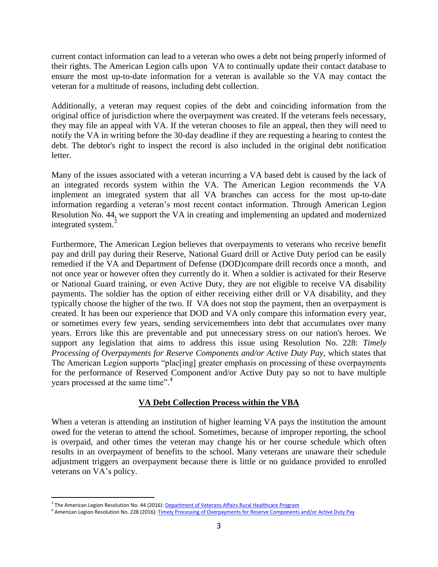current contact information can lead to a veteran who owes a debt not being properly informed of their rights. The American Legion calls upon VA to continually update their contact database to ensure the most up-to-date information for a veteran is available so the VA may contact the veteran for a multitude of reasons, including debt collection.

Additionally, a veteran may request copies of the debt and coinciding information from the original office of jurisdiction where the overpayment was created. If the veterans feels necessary, they may file an appeal with VA. If the veteran chooses to file an appeal, then they will need to notify the VA in writing before the 30-day deadline if they are requesting a hearing to contest the debt. The debtor's right to inspect the record is also included in the original debt notification letter.

Many of the issues associated with a veteran incurring a VA based debt is caused by the lack of an integrated records system within the VA. The American Legion recommends the VA implement an integrated system that all VA branches can access for the most up-to-date information regarding a veteran's most recent contact information. Through American Legion Resolution No. 44, we support the VA in creating and implementing an updated and modernized integrated system.<sup>3</sup>

Furthermore, The American Legion believes that overpayments to veterans who receive benefit pay and drill pay during their Reserve, National Guard drill or Active Duty period can be easily remedied if the VA and Department of Defense (DOD)compare drill records once a month, and not once year or however often they currently do it. When a soldier is activated for their Reserve or National Guard training, or even Active Duty, they are not eligible to receive VA disability payments. The soldier has the option of either receiving either drill or VA disability, and they typically choose the higher of the two. If VA does not stop the payment, then an overpayment is created. It has been our experience that DOD and VA only compare this information every year, or sometimes every few years, sending servicemembers into debt that accumulates over many years. Errors like this are preventable and put unnecessary stress on our nation's heroes. We support any legislation that aims to address this issue using Resolution No. 228: *Timely Processing of Overpayments for Reserve Components and/or Active Duty Pay,* which states that The American Legion supports "plac[ing] greater emphasis on processing of these overpayments for the performance of Reserved Component and/or Active Duty pay so not to have multiple years processed at the same time". 4

## **VA Debt Collection Process within the VBA**

When a veteran is attending an institution of higher learning VA pays the institution the amount owed for the veteran to attend the school. Sometimes, because of improper reporting, the school is overpaid, and other times the veteran may change his or her course schedule which often results in an overpayment of benefits to the school. Many veterans are unaware their schedule adjustment triggers an overpayment because there is little or no guidance provided to enrolled veterans on VA's policy.

 $\overline{a}$ 

<sup>&</sup>lt;sup>3</sup> The American Legion Resolution No. 44 (2016): <u>Department of Veterans Affairs Rural Healthcare Program</u>

<sup>&</sup>lt;sup>4</sup> American Legion Resolution No. 228 (2016)[: Timely Processing of Overpayments for Reserve Components and/or Active Duty Pay](https://archive.legion.org/bitstream/handle/123456789/5558/2016N228.pdf?sequence=4&isAllowed=y)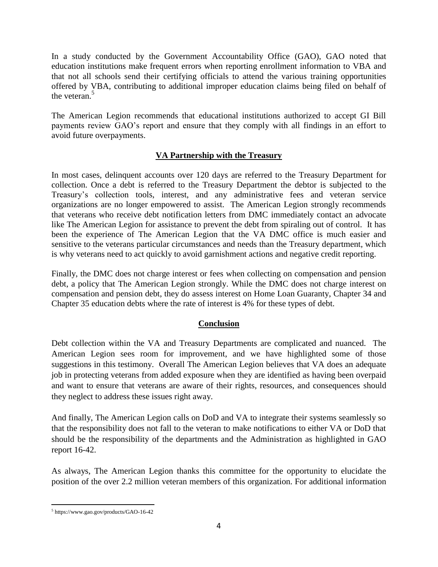In a study conducted by the Government Accountability Office (GAO), GAO noted that education institutions make frequent errors when reporting enrollment information to VBA and that not all schools send their certifying officials to attend the various training opportunities offered by VBA, contributing to additional improper education claims being filed on behalf of the veteran.<sup>5</sup>

The American Legion recommends that educational institutions authorized to accept GI Bill payments review GAO's report and ensure that they comply with all findings in an effort to avoid future overpayments.

# **VA Partnership with the Treasury**

In most cases, delinquent accounts over 120 days are referred to the Treasury Department for collection. Once a debt is referred to the Treasury Department the debtor is subjected to the Treasury's collection tools, interest, and any administrative fees and veteran service organizations are no longer empowered to assist. The American Legion strongly recommends that veterans who receive debt notification letters from DMC immediately contact an advocate like The American Legion for assistance to prevent the debt from spiraling out of control. It has been the experience of The American Legion that the VA DMC office is much easier and sensitive to the veterans particular circumstances and needs than the Treasury department, which is why veterans need to act quickly to avoid garnishment actions and negative credit reporting.

Finally, the DMC does not charge interest or fees when collecting on compensation and pension debt, a policy that The American Legion strongly. While the DMC does not charge interest on compensation and pension debt, they do assess interest on Home Loan Guaranty, Chapter 34 and Chapter 35 education debts where the rate of interest is 4% for these types of debt.

## **Conclusion**

Debt collection within the VA and Treasury Departments are complicated and nuanced. The American Legion sees room for improvement, and we have highlighted some of those suggestions in this testimony. Overall The American Legion believes that VA does an adequate job in protecting veterans from added exposure when they are identified as having been overpaid and want to ensure that veterans are aware of their rights, resources, and consequences should they neglect to address these issues right away.

And finally, The American Legion calls on DoD and VA to integrate their systems seamlessly so that the responsibility does not fall to the veteran to make notifications to either VA or DoD that should be the responsibility of the departments and the Administration as highlighted in GAO report 16-42.

As always, The American Legion thanks this committee for the opportunity to elucidate the position of the over 2.2 million veteran members of this organization. For additional information

 $\overline{a}$ 5 https://www.gao.gov/products/GAO-16-42